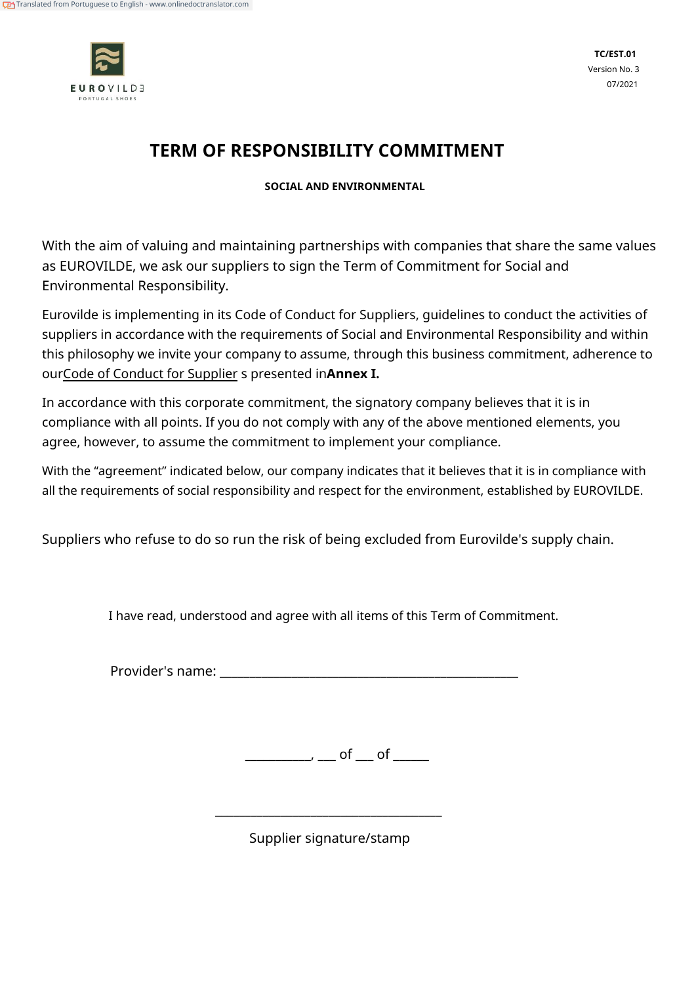

# **TERM OF RESPONSIBILITY COMMITMENT**

**SOCIAL AND ENVIRONMENTAL**

With the aim of valuing and maintaining partnerships with companies that share the same values as EUROVILDE, we ask our suppliers to sign the Term of Commitment for Social and Environmental Responsibility.

Eurovilde is implementing in its Code of Conduct for Suppliers, guidelines to conduct the activities of suppliers in accordance with the requirements of Social and Environmental Responsibility and within this philosophy we invite your company to assume, through this business commitment, adherence to ourCode of Conduct for Supplier s presented in**Annex I.**

In accordance with this corporate commitment, the signatory company believes that it is in compliance with all points. If you do not comply with any of the above mentioned elements, you agree, however, to assume the commitment to implement your compliance.

With the "agreement" indicated below, our company indicates that it believes that it is in compliance with all the requirements of social responsibility and respect for the environment, established by EUROVILDE.

Suppliers who refuse to do so run the risk of being excluded from Eurovilde's supply chain.

I have read, understood and agree with all items of this Term of Commitment.

Provider's name: \_\_\_\_\_\_\_\_\_\_\_\_\_\_\_\_\_\_\_\_\_\_\_\_\_\_\_\_\_\_\_\_\_\_\_\_\_\_\_\_\_\_\_\_\_\_\_\_\_\_

\_\_\_\_\_\_\_\_\_\_\_, \_\_\_ of \_\_\_ of \_\_\_\_\_

Supplier signature/stamp

\_\_\_\_\_\_\_\_\_\_\_\_\_\_\_\_\_\_\_\_\_\_\_\_\_\_\_\_\_\_\_\_\_\_\_\_\_\_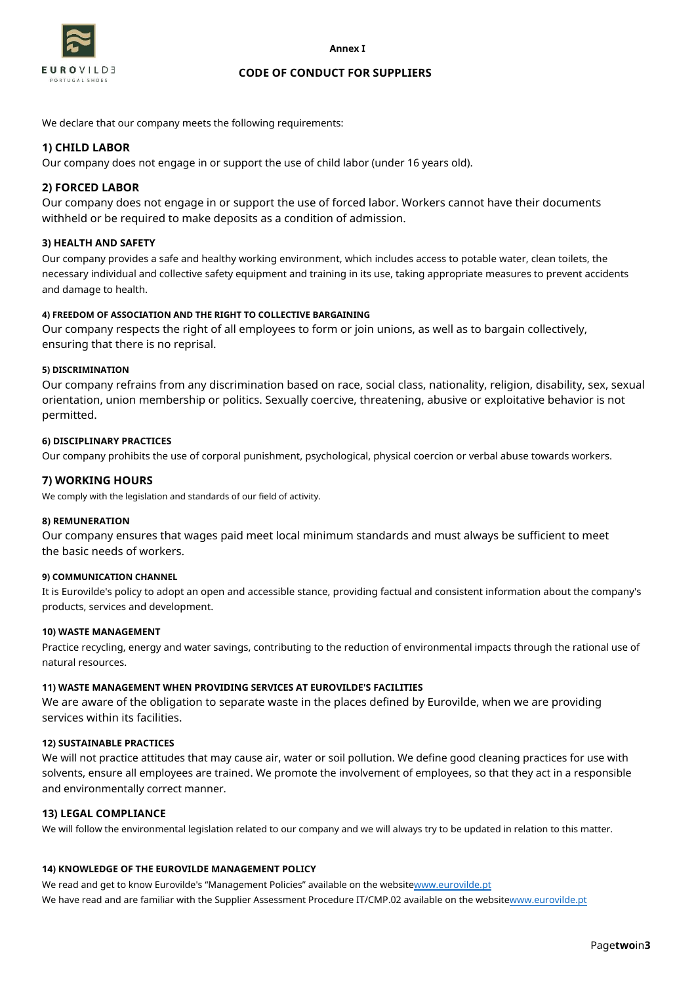



#### **CODE OF CONDUCT FOR SUPPLIERS**

We declare that our company meets the following requirements:

# **1) CHILD LABOR**

Our company does not engage in or support the use of child labor (under 16 years old).

# **2) FORCED LABOR**

Our company does not engage in or support the use of forced labor. Workers cannot have their documents withheld or be required to make deposits as a condition of admission.

## **3) HEALTH AND SAFETY**

Our company provides a safe and healthy working environment, which includes access to potable water, clean toilets, the necessary individual and collective safety equipment and training in its use, taking appropriate measures to prevent accidents and damage to health.

## **4) FREEDOM OF ASSOCIATION AND THE RIGHT TO COLLECTIVE BARGAINING**

Our company respects the right of all employees to form or join unions, as well as to bargain collectively, ensuring that there is no reprisal.

## **5) DISCRIMINATION**

Our company refrains from any discrimination based on race, social class, nationality, religion, disability, sex, sexual orientation, union membership or politics. Sexually coercive, threatening, abusive or exploitative behavior is not permitted.

## **6) DISCIPLINARY PRACTICES**

Our company prohibits the use of corporal punishment, psychological, physical coercion or verbal abuse towards workers.

## **7) WORKING HOURS**

We comply with the legislation and standards of our field of activity.

#### **8) REMUNERATION**

Our company ensures that wages paid meet local minimum standards and must always be sufficient to meet the basic needs of workers.

#### **9) COMMUNICATION CHANNEL**

It is Eurovilde's policy to adopt an open and accessible stance, providing factual and consistent information about the company's products, services and development.

#### **10) WASTE MANAGEMENT**

Practice recycling, energy and water savings, contributing to the reduction of environmental impacts through the rational use of natural resources.

## **11) WASTE MANAGEMENT WHEN PROVIDING SERVICES AT EUROVILDE'S FACILITIES**

We are aware of the obligation to separate waste in the places defined by Eurovilde, when we are providing services within its facilities.

#### **12) SUSTAINABLE PRACTICES**

We will not practice attitudes that may cause air, water or soil pollution. We define good cleaning practices for use with solvents, ensure all employees are trained. We promote the involvement of employees, so that they act in a responsible and environmentally correct manner.

## **13) LEGAL COMPLIANCE**

We will follow the environmental legislation related to our company and we will always try to be updated in relation to this matter.

## **14) KNOWLEDGE OF THE EUROVILDE MANAGEMENT POLICY**

We read and get to know Eurovilde's "Management Policies" available on the websitew[ww.eurovilde.pt](http://www.eurovilde.pt/) We have read and are familiar with the Supplier Assessment Procedure IT/CMP.02 available on the websiteww[w.eurovilde.pt](http://www.eurovilde.pt/)